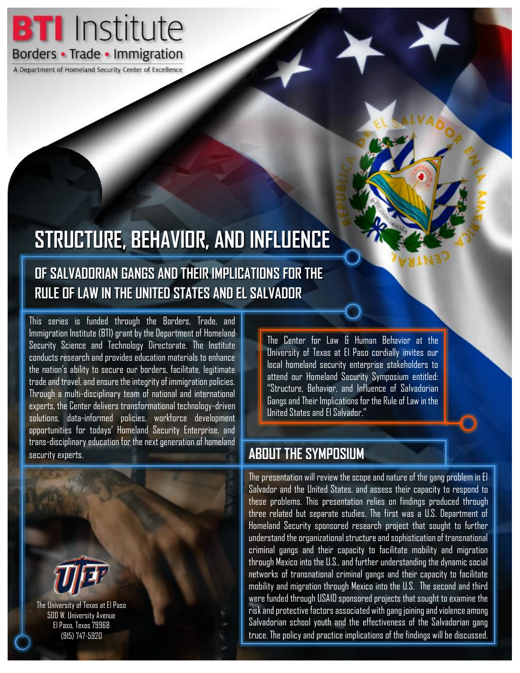

A Department of Homeland Security Center of Excellence

# **STRUCTURE, BEHAVIOR, AND INFLUENCE**

### **OF SALVADORIAN GANGS AND THEIR IMPLICATIONS FOR THE RULE OF LAW IN THE UNITED STATES AND EL SALVADOR**

This series is funded through the Borders, Trade, and Immigration Institute (BTI) grant by the Department of Homeland Security Science and Technology Directorate. The Institute conducts research and provides education materials to enhance the nation's ability to secure our borders, facilitate, legitimate trade and travel, and ensure the integrity of immigration policies. Through a multi-disciplinary team of national and international experts, the Center delivers transformational technology-driven solutions, data-informed policies, workforce development opportunities for todays' Homeland Security Enterprise, and trans-disciplinary education for the next generation of homeland security experts.



The Center for Law & Human Behavior at the University of Texas at El Paso cordially invites our local homeland security enterprise stakeholders to attend our Homeland Security Symposium entitled: "Structure, Behavior, and Influence of Salvadorian Gangs and Their Implications for the Rule of Law in the United States and El Salvador."

#### **ABOUT THE SYMPOSIUM**

The presentation will review the scope and nature of the gang problem in El Salvador and the United States, and assess their capacity to respond to these problems. This presentation relies on findings produced through three related but separate studies. The first was a U.S. Department of Homeland Security sponsored research project that sought to further understand the organizational structure and sophistication of transnational criminal gangs and their capacity to facilitate mobility and migration through Mexico into the U.S., and further understanding the dynamic social networks of transnational criminal gangs and their capacity to facilitate mobility and migration through Mexico into the U.S. The second and third were funded through USAID sponsored projects that sought to examine the risk and protective factors associated with gang joining and violence among Salvadorian school youth and the effectiveness of the Salvadorian gang truce. The policy and practice implications of the findings will be discussed.